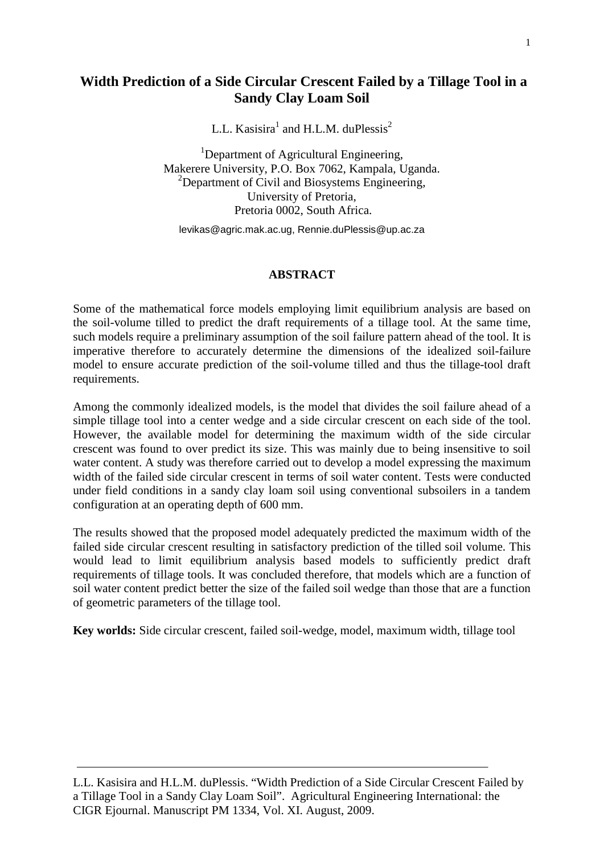# **Width Prediction of a Side Circular Crescent Failed by a Tillage Tool in a Sandy Clay Loam Soil**

L.L. Kasisira<sup>1</sup> and H.L.M. duPlessis<sup>2</sup>

<sup>1</sup>Department of Agricultural Engineering, Makerere University, P.O. Box 7062, Kampala, Uganda. <sup>2</sup>Department of Civil and Biosystems Engineering, University of Pretoria, Pretoria 0002, South Africa.

[levikas@agric.mak.ac.ug, Rennie.duPlessis@up.ac.za](mailto:levikas@agric.mak.ac.ug,%20Rennie.duPlessis@up.ac.za)

#### **ABSTRACT**

Some of the mathematical force models employing limit equilibrium analysis are based on the soil-volume tilled to predict the draft requirements of a tillage tool. At the same time, such models require a preliminary assumption of the soil failure pattern ahead of the tool. It is imperative therefore to accurately determine the dimensions of the idealized soil-failure model to ensure accurate prediction of the soil-volume tilled and thus the tillage-tool draft requirements.

Among the commonly idealized models, is the model that divides the soil failure ahead of a simple tillage tool into a center wedge and a side circular crescent on each side of the tool. However, the available model for determining the maximum width of the side circular crescent was found to over predict its size. This was mainly due to being insensitive to soil water content. A study was therefore carried out to develop a model expressing the maximum width of the failed side circular crescent in terms of soil water content. Tests were conducted under field conditions in a sandy clay loam soil using conventional subsoilers in a tandem configuration at an operating depth of 600 mm.

The results showed that the proposed model adequately predicted the maximum width of the failed side circular crescent resulting in satisfactory prediction of the tilled soil volume. This would lead to limit equilibrium analysis based models to sufficiently predict draft requirements of tillage tools. It was concluded therefore, that models which are a function of soil water content predict better the size of the failed soil wedge than those that are a function of geometric parameters of the tillage tool.

**Key worlds:** Side circular crescent, failed soil-wedge, model, maximum width, tillage tool

L.L. Kasisira and H.L.M. duPlessis. "Width Prediction of a Side Circular Crescent Failed by a Tillage Tool in a Sandy Clay Loam Soil". Agricultural Engineering International: the CIGR Ejournal. Manuscript PM 1334, Vol. XI. August, 2009.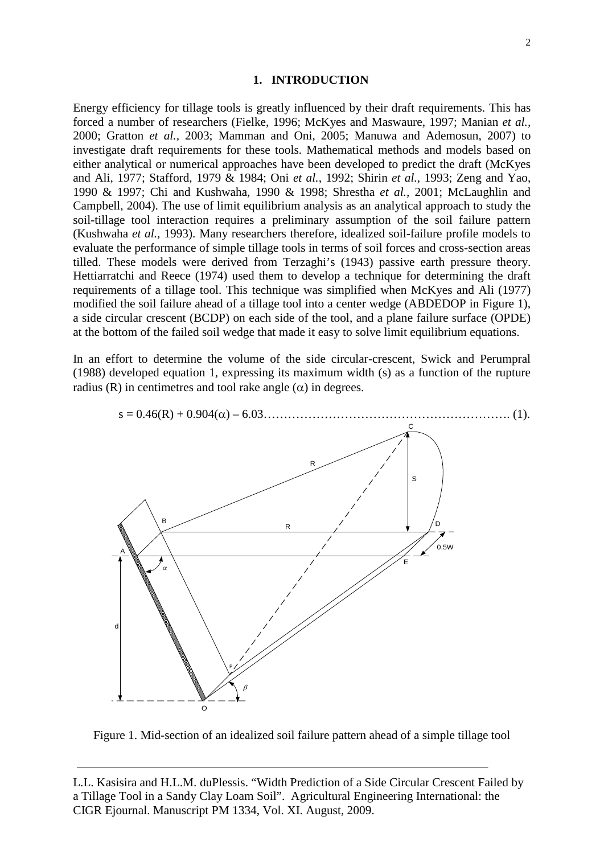#### **1. INTRODUCTION**

Energy efficiency for tillage tools is greatly influenced by their draft requirements. This has forced a number of researchers (Fielke, 1996; McKyes and Maswaure, 1997; Manian *et al.,* 2000; Gratton *et al.,* 2003; Mamman and Oni, 2005; Manuwa and Ademosun, 2007) to investigate draft requirements for these tools. Mathematical methods and models based on either analytical or numerical approaches have been developed to predict the draft (McKyes and Ali, 1977; Stafford, 1979 & 1984; Oni *et al.,* 1992; Shirin *et al.,* 1993; Zeng and Yao, 1990 & 1997; Chi and Kushwaha, 1990 & 1998; Shrestha *et al.,* 2001; McLaughlin and Campbell, 2004). The use of limit equilibrium analysis as an analytical approach to study the soil-tillage tool interaction requires a preliminary assumption of the soil failure pattern (Kushwaha *et al.,* 1993). Many researchers therefore, idealized soil-failure profile models to evaluate the performance of simple tillage tools in terms of soil forces and cross-section areas tilled. These models were derived from Terzaghi's (1943) passive earth pressure theory. Hettiarratchi and Reece (1974) used them to develop a technique for determining the draft requirements of a tillage tool. This technique was simplified when McKyes and Ali (1977) modified the soil failure ahead of a tillage tool into a center wedge (ABDEDOP in Figure 1), a side circular crescent (BCDP) on each side of the tool, and a plane failure surface (OPDE) at the bottom of the failed soil wedge that made it easy to solve limit equilibrium equations.

In an effort to determine the volume of the side circular-crescent, Swick and Perumpral (1988) developed equation 1, expressing its maximum width (s) as a function of the rupture radius (R) in centimetres and tool rake angle  $(\alpha)$  in degrees.



Figure 1. Mid-section of an idealized soil failure pattern ahead of a simple tillage tool

L.L. Kasisira and H.L.M. duPlessis. "Width Prediction of a Side Circular Crescent Failed by a Tillage Tool in a Sandy Clay Loam Soil". Agricultural Engineering International: the CIGR Ejournal. Manuscript PM 1334, Vol. XI. August, 2009.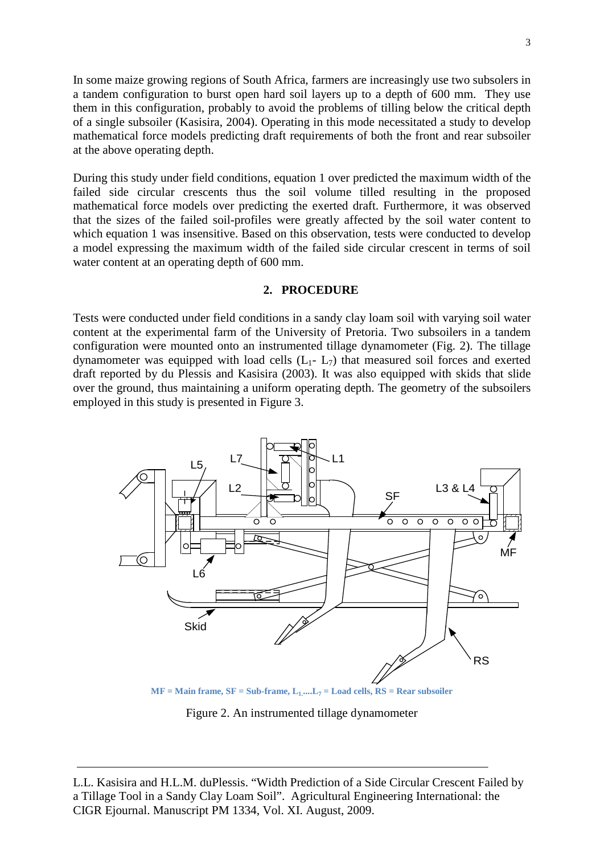In some maize growing regions of South Africa, farmers are increasingly use two subsolers in a tandem configuration to burst open hard soil layers up to a depth of 600 mm. They use them in this configuration, probably to avoid the problems of tilling below the critical depth of a single subsoiler (Kasisira, 2004). Operating in this mode necessitated a study to develop mathematical force models predicting draft requirements of both the front and rear subsoiler at the above operating depth.

During this study under field conditions, equation 1 over predicted the maximum width of the failed side circular crescents thus the soil volume tilled resulting in the proposed mathematical force models over predicting the exerted draft. Furthermore, it was observed that the sizes of the failed soil-profiles were greatly affected by the soil water content to which equation 1 was insensitive. Based on this observation, tests were conducted to develop a model expressing the maximum width of the failed side circular crescent in terms of soil water content at an operating depth of 600 mm.

#### **2. PROCEDURE**

Tests were conducted under field conditions in a sandy clay loam soil with varying soil water content at the experimental farm of the University of Pretoria. Two subsoilers in a tandem configuration were mounted onto an instrumented tillage dynamometer (Fig. 2). The tillage dynamometer was equipped with load cells  $(L_1 - L_7)$  that measured soil forces and exerted draft reported by du Plessis and Kasisira (2003). It was also equipped with skids that slide over the ground, thus maintaining a uniform operating depth. The geometry of the subsoilers employed in this study is presented in Figure 3.



Figure 2. An instrumented tillage dynamometer

L.L. Kasisira and H.L.M. duPlessis. "Width Prediction of a Side Circular Crescent Failed by a Tillage Tool in a Sandy Clay Loam Soil". Agricultural Engineering International: the CIGR Ejournal. Manuscript PM 1334, Vol. XI. August, 2009.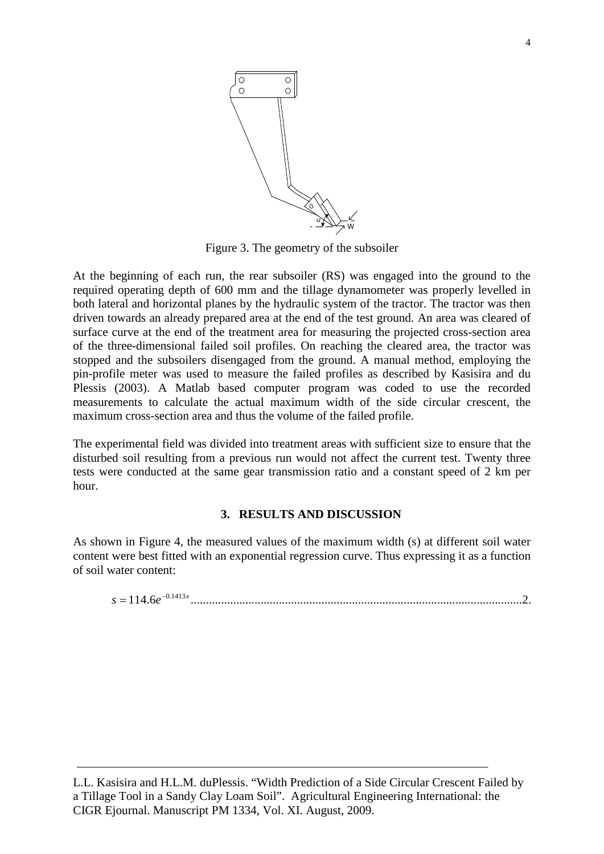

Figure 3. The geometry of the subsoiler

At the beginning of each run, the rear subsoiler (RS) was engaged into the ground to the required operating depth of 600 mm and the tillage dynamometer was properly levelled in both lateral and horizontal planes by the hydraulic system of the tractor. The tractor was then driven towards an already prepared area at the end of the test ground. An area was cleared of surface curve at the end of the treatment area for measuring the projected cross-section area of the three-dimensional failed soil profiles. On reaching the cleared area, the tractor was stopped and the subsoilers disengaged from the ground. A manual method, employing the pin-profile meter was used to measure the failed profiles as described by Kasisira and du Plessis (2003). A Matlab based computer program was coded to use the recorded measurements to calculate the actual maximum width of the side circular crescent, the maximum cross-section area and thus the volume of the failed profile.

The experimental field was divided into treatment areas with sufficient size to ensure that the disturbed soil resulting from a previous run would not affect the current test. Twenty three tests were conducted at the same gear transmission ratio and a constant speed of 2 km per hour.

# **3. RESULTS AND DISCUSSION**

As shown in Figure 4, the measured values of the maximum width (s) at different soil water content were best fitted with an exponential regression curve. Thus expressing it as a function of soil water content:

114.6 .............................................................................................................2. 0.1413*<sup>x</sup> s e*<sup>−</sup> =

L.L. Kasisira and H.L.M. duPlessis. "Width Prediction of a Side Circular Crescent Failed by a Tillage Tool in a Sandy Clay Loam Soil". Agricultural Engineering International: the CIGR Ejournal. Manuscript PM 1334, Vol. XI. August, 2009.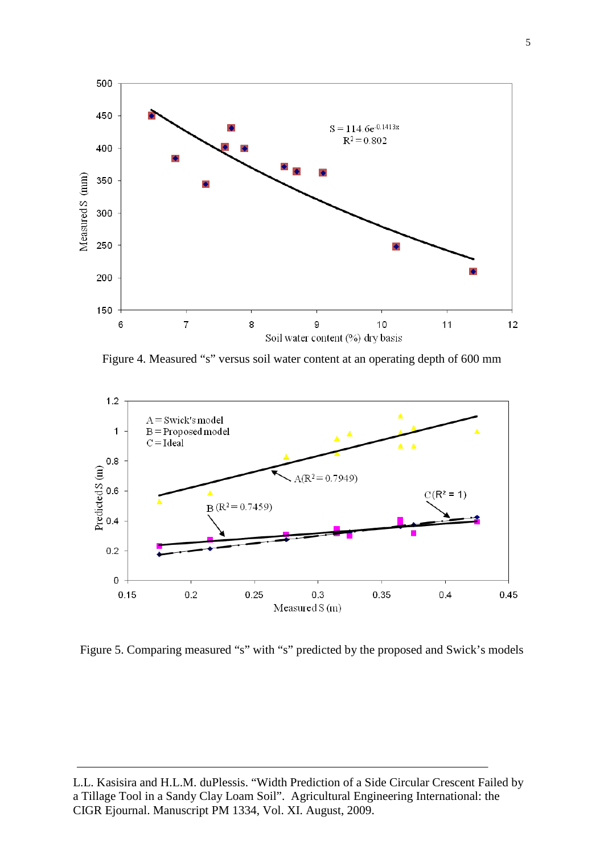

Figure 4. Measured "s" versus soil water content at an operating depth of 600 mm



Figure 5. Comparing measured "s" with "s" predicted by the proposed and Swick's models

L.L. Kasisira and H.L.M. duPlessis. "Width Prediction of a Side Circular Crescent Failed by a Tillage Tool in a Sandy Clay Loam Soil". Agricultural Engineering International: the CIGR Ejournal. Manuscript PM 1334, Vol. XI. August, 2009.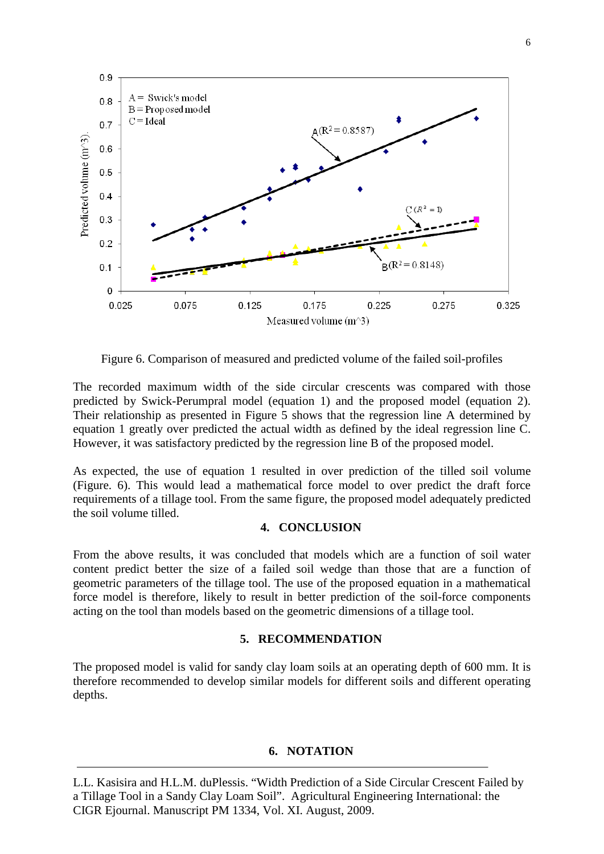

Figure 6. Comparison of measured and predicted volume of the failed soil-profiles

The recorded maximum width of the side circular crescents was compared with those predicted by Swick-Perumpral model (equation 1) and the proposed model (equation 2). Their relationship as presented in Figure 5 shows that the regression line A determined by equation 1 greatly over predicted the actual width as defined by the ideal regression line C. However, it was satisfactory predicted by the regression line B of the proposed model.

As expected, the use of equation 1 resulted in over prediction of the tilled soil volume (Figure. 6). This would lead a mathematical force model to over predict the draft force requirements of a tillage tool. From the same figure, the proposed model adequately predicted the soil volume tilled.

# **4. CONCLUSION**

From the above results, it was concluded that models which are a function of soil water content predict better the size of a failed soil wedge than those that are a function of geometric parameters of the tillage tool. The use of the proposed equation in a mathematical force model is therefore, likely to result in better prediction of the soil-force components acting on the tool than models based on the geometric dimensions of a tillage tool.

# **5. RECOMMENDATION**

The proposed model is valid for sandy clay loam soils at an operating depth of 600 mm. It is therefore recommended to develop similar models for different soils and different operating depths.

## **6. NOTATION**

L.L. Kasisira and H.L.M. duPlessis. "Width Prediction of a Side Circular Crescent Failed by a Tillage Tool in a Sandy Clay Loam Soil". Agricultural Engineering International: the CIGR Ejournal. Manuscript PM 1334, Vol. XI. August, 2009.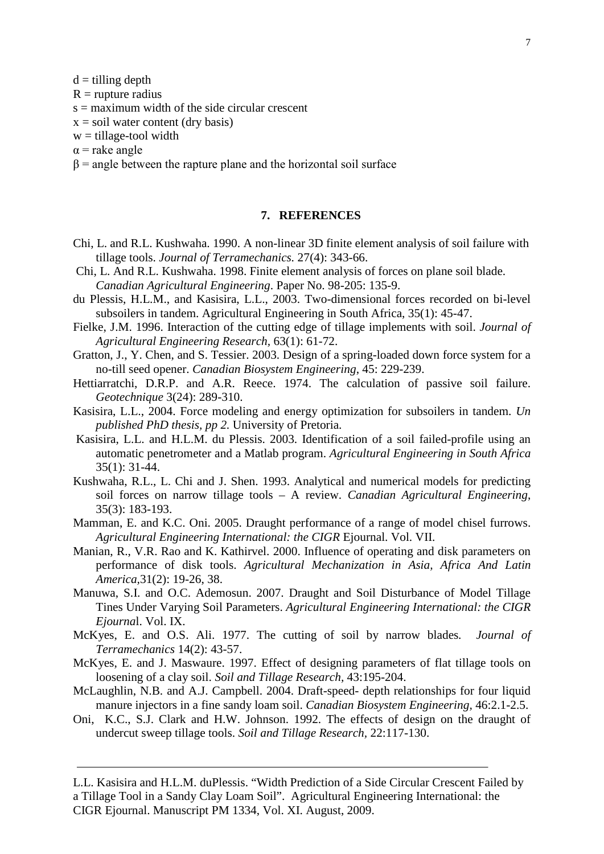$d =$  tilling depth

 $R =$ rupture radius

 $s =$  maximum width of the side circular crescent

 $x = soil water content (dry basis)$ 

 $w = \text{tillage-tool width}$ 

 $\alpha$  = rake angle

 $\beta$  = angle between the rapture plane and the horizontal soil surface

#### **7. REFERENCES**

- Chi, L. and R.L. Kushwaha. 1990. A non-linear 3D finite element analysis of soil failure with tillage tools. *Journal of Terramechanics.* 27(4): 343-66.
- Chi, L. And R.L. Kushwaha. 1998. Finite element analysis of forces on plane soil blade. *Canadian Agricultural Engineering*. Paper No. 98-205: 135-9.
- du Plessis, H.L.M., and Kasisira, L.L., 2003. Two-dimensional forces recorded on bi-level subsoilers in tandem. Agricultural Engineering in South Africa, 35(1): 45-47.
- Fielke, J.M. 1996. Interaction of the cutting edge of tillage implements with soil. *Journal of Agricultural Engineering Research,* 63(1): 61-72.
- Gratton, J., Y. Chen, and S. Tessier. 2003. Design of a spring-loaded down force system for a no-till seed opener. *Canadian Biosystem Engineering*, 45: 229-239.
- Hettiarratchi, D.R.P. and A.R. Reece. 1974. The calculation of passive soil failure. *Geotechnique* 3(24): 289-310.
- Kasisira, L.L., 2004. Force modeling and energy optimization for subsoilers in tandem. *Un published PhD thesis, pp 2.* University of Pretoria.
- Kasisira, L.L. and H.L.M. du Plessis. 2003. Identification of a soil failed-profile using an automatic penetrometer and a Matlab program. *Agricultural Engineering in South Africa* 35(1): 31-44.
- Kushwaha, R.L., L. Chi and J. Shen. 1993. Analytical and numerical models for predicting soil forces on narrow tillage tools – A review. *Canadian Agricultural Engineering*, 35(3): 183-193.
- Mamman, E. and K.C. Oni. 2005. Draught performance of a range of model chisel furrows. *Agricultural Engineering International: the CIGR* Ejournal. Vol. VII.
- Manian, R., V.R. Rao and K. Kathirvel. 2000. Influence of operating and disk parameters on performance of disk tools. *Agricultural Mechanization in Asia, Africa And Latin America,*31(2): 19-26, 38.
- Manuwa, S.I. and O.C. Ademosun. 2007. Draught and Soil Disturbance of Model Tillage Tines Under Varying Soil Parameters. *Agricultural Engineering International: the CIGR Ejourna*l. Vol. IX.
- McKyes, E. and O.S. Ali. 1977. The cutting of soil by narrow blades*. Journal of Terramechanics* 14(2): 43-57.
- McKyes, E. and J. Maswaure. 1997. Effect of designing parameters of flat tillage tools on loosening of a clay soil. *Soil and Tillage Research,* 43:195-204.
- McLaughlin, N.B. and A.J. Campbell. 2004. Draft-speed- depth relationships for four liquid manure injectors in a fine sandy loam soil. *Canadian Biosystem Engineering,* 46:2.1-2.5.
- Oni, K.C., S.J. Clark and H.W. Johnson. 1992. The effects of design on the draught of undercut sweep tillage tools. *Soil and Tillage Research,* 22:117-130.

L.L. Kasisira and H.L.M. duPlessis. "Width Prediction of a Side Circular Crescent Failed by a Tillage Tool in a Sandy Clay Loam Soil". Agricultural Engineering International: the CIGR Ejournal. Manuscript PM 1334, Vol. XI. August, 2009.